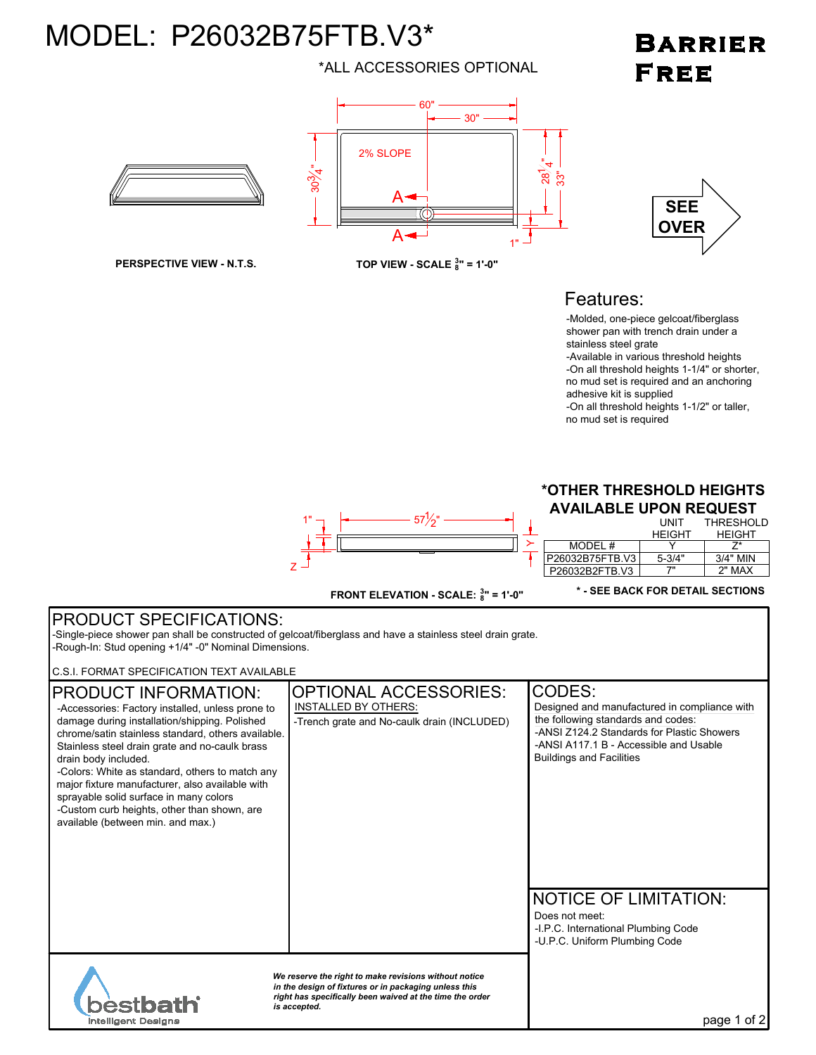# MODEL: P26032B75FTB.V3\*

\*ALL ACCESSORIES OPTIONAL

## **BARRIER FREE**



## Features:



no mud set is required



**FRONT ELEVATION - SCALE: <sup>3</sup> 8 " = 1'-0"**

### **\* - SEE BACK FOR DETAIL SECTIONS**

### PRODUCT SPECIFICATIONS: -Single-piece shower pan shall be constructed of gelcoat/fiberglass and have a stainless steel drain grate. -Rough-In: Stud opening +1/4" -0" Nominal Dimensions. C.S.I. FORMAT SPECIFICATION TEXT AVAILABLE OPTIONAL ACCESSORIES: CODES:<br>INSTALLED BY OTHERS: CODES PRODUCT INFORMATION: -Accessories: Factory installed, unless prone to Designed and manufactured in compliance with the following standards and codes: damage during installation/shipping. Polished -Trench grate and No-caulk drain (INCLUDED) -ANSI Z124.2 Standards for Plastic Showers chrome/satin stainless standard, others available. -ANSI A117.1 B - Accessible and Usable Stainless steel drain grate and no-caulk brass Buildings and Facilities drain body included. -Colors: White as standard, others to match any major fixture manufacturer, also available with sprayable solid surface in many colors -Custom curb heights, other than shown, are available (between min. and max.) NOTICE OF LIMITATION: Does not meet: -I.P.C. International Plumbing Code -U.P.C. Uniform Plumbing Code *We reserve the right to make revisions without notice in the design of fixtures or in packaging unless this right has specifically been waived at the time the order* bestba *is accepted.* page 1 of 2 **Intelligent Designs**